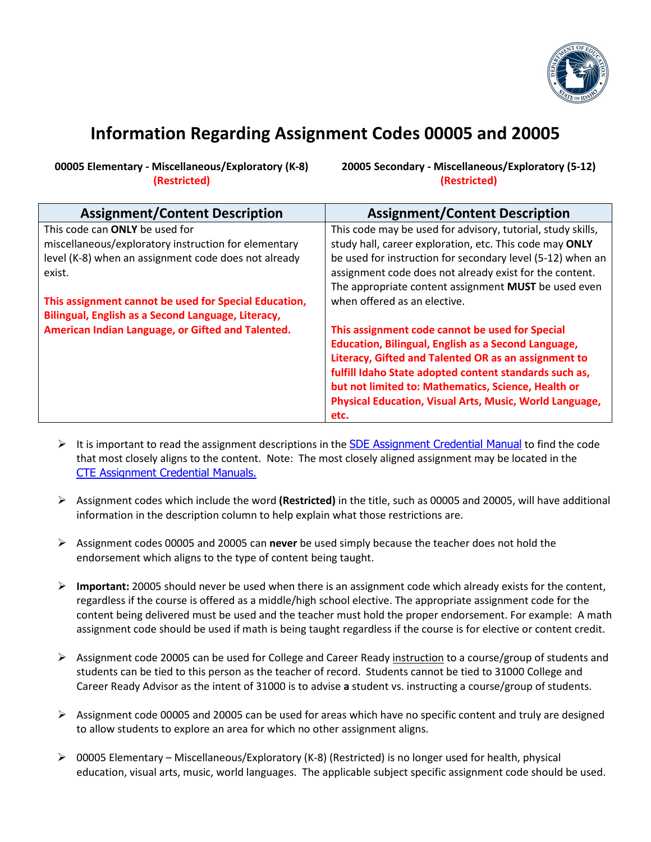

## **Information Regarding Assignment Codes 00005 and 20005**

**00005 Elementary - Miscellaneous/Exploratory (K-8) (Restricted)**

**20005 Secondary - Miscellaneous/Exploratory (5-12) (Restricted)**

| <b>Assignment/Content Description</b>                 | <b>Assignment/Content Description</b>                       |
|-------------------------------------------------------|-------------------------------------------------------------|
| This code can ONLY be used for                        | This code may be used for advisory, tutorial, study skills, |
| miscellaneous/exploratory instruction for elementary  | study hall, career exploration, etc. This code may ONLY     |
| level (K-8) when an assignment code does not already  | be used for instruction for secondary level (5-12) when an  |
| exist.                                                | assignment code does not already exist for the content.     |
|                                                       | The appropriate content assignment MUST be used even        |
| This assignment cannot be used for Special Education, | when offered as an elective.                                |
| Bilingual, English as a Second Language, Literacy,    |                                                             |
| American Indian Language, or Gifted and Talented.     | This assignment code cannot be used for Special             |
|                                                       | <b>Education, Bilingual, English as a Second Language,</b>  |
|                                                       | Literacy, Gifted and Talented OR as an assignment to        |
|                                                       | fulfill Idaho State adopted content standards such as,      |
|                                                       | but not limited to: Mathematics, Science, Health or         |
|                                                       | Physical Education, Visual Arts, Music, World Language,     |
|                                                       | etc.                                                        |

- It is important to read the assignment descriptions in the **SDE** [Assignment Credential Manual](https://www.sde.idaho.gov/cert-psc/shared/manuals/2021-2022-SDE-Assignment-Credential-Manual.xlsx) to find the code that most closely aligns to the content. Note: The most closely aligned assignment may be located in the CTE [Assignment Credential Manuals.](https://cte.idaho.gov/programs-2/secondary-education/assignment-manual-and-isee-resources/)
- Assignment codes which include the word **(Restricted)** in the title, such as 00005 and 20005, will have additional information in the description column to help explain what those restrictions are.
- Assignment codes 00005 and 20005 can **never** be used simply because the teacher does not hold the endorsement which aligns to the type of content being taught.
- **Important:** 20005 should never be used when there is an assignment code which already exists for the content, regardless if the course is offered as a middle/high school elective. The appropriate assignment code for the content being delivered must be used and the teacher must hold the proper endorsement. For example: A math assignment code should be used if math is being taught regardless if the course is for elective or content credit.
- Assignment code 20005 can be used for College and Career Ready instruction to a course/group of students and students can be tied to this person as the teacher of record. Students cannot be tied to 31000 College and Career Ready Advisor as the intent of 31000 is to advise **a** student vs. instructing a course/group of students.
- $\triangleright$  Assignment code 00005 and 20005 can be used for areas which have no specific content and truly are designed to allow students to explore an area for which no other assignment aligns.
- $\triangleright$  00005 Elementary Miscellaneous/Exploratory (K-8) (Restricted) is no longer used for health, physical education, visual arts, music, world languages. The applicable subject specific assignment code should be used.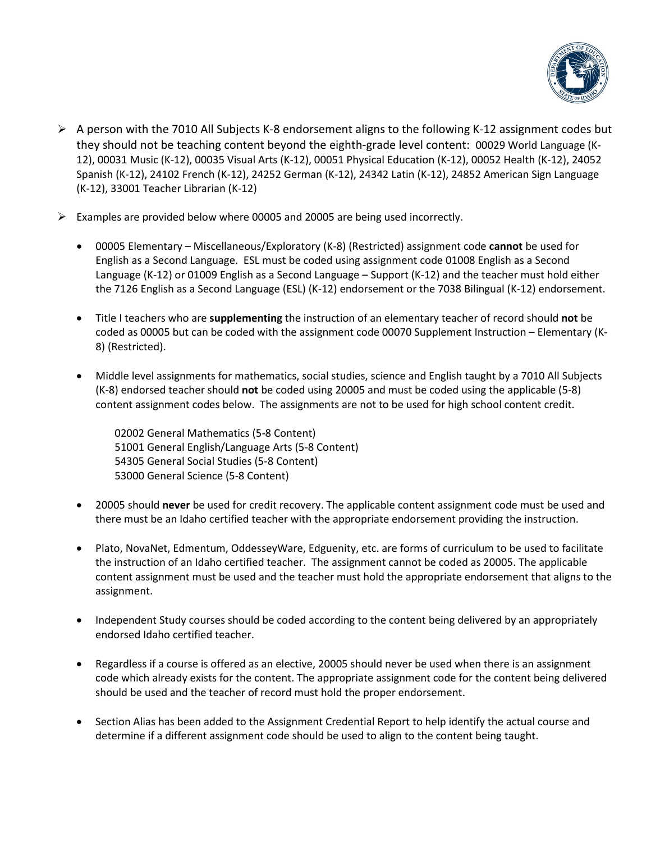

- $\triangleright$  A person with the 7010 All Subjects K-8 endorsement aligns to the following K-12 assignment codes but they should not be teaching content beyond the eighth-grade level content: 00029 World Language (K-12), 00031 Music (K-12), 00035 Visual Arts (K-12), 00051 Physical Education (K-12), 00052 Health (K-12), 24052 Spanish (K-12), 24102 French (K-12), 24252 German (K-12), 24342 Latin (K-12), 24852 American Sign Language (K-12), 33001 Teacher Librarian (K-12)
- $\triangleright$  Examples are provided below where 00005 and 20005 are being used incorrectly.
	- 00005 Elementary Miscellaneous/Exploratory (K-8) (Restricted) assignment code **cannot** be used for English as a Second Language. ESL must be coded using assignment code 01008 English as a Second Language (K-12) or 01009 English as a Second Language – Support (K-12) and the teacher must hold either the 7126 English as a Second Language (ESL) (K-12) endorsement or the 7038 Bilingual (K-12) endorsement.
	- Title I teachers who are **supplementing** the instruction of an elementary teacher of record should **not** be coded as 00005 but can be coded with the assignment code 00070 Supplement Instruction – Elementary (K-8) (Restricted).
	- Middle level assignments for mathematics, social studies, science and English taught by a 7010 All Subjects (K-8) endorsed teacher should **not** be coded using 20005 and must be coded using the applicable (5-8) content assignment codes below. The assignments are not to be used for high school content credit.
		- 02002 General Mathematics (5-8 Content) 51001 General English/Language Arts (5-8 Content) 54305 General Social Studies (5-8 Content) 53000 General Science (5-8 Content)
	- 20005 should **never** be used for credit recovery. The applicable content assignment code must be used and there must be an Idaho certified teacher with the appropriate endorsement providing the instruction.
	- Plato, NovaNet, Edmentum, OddesseyWare, Edguenity, etc. are forms of curriculum to be used to facilitate the instruction of an Idaho certified teacher. The assignment cannot be coded as 20005. The applicable content assignment must be used and the teacher must hold the appropriate endorsement that aligns to the assignment.
	- Independent Study courses should be coded according to the content being delivered by an appropriately endorsed Idaho certified teacher.
	- Regardless if a course is offered as an elective, 20005 should never be used when there is an assignment code which already exists for the content. The appropriate assignment code for the content being delivered should be used and the teacher of record must hold the proper endorsement.
	- Section Alias has been added to the Assignment Credential Report to help identify the actual course and determine if a different assignment code should be used to align to the content being taught.